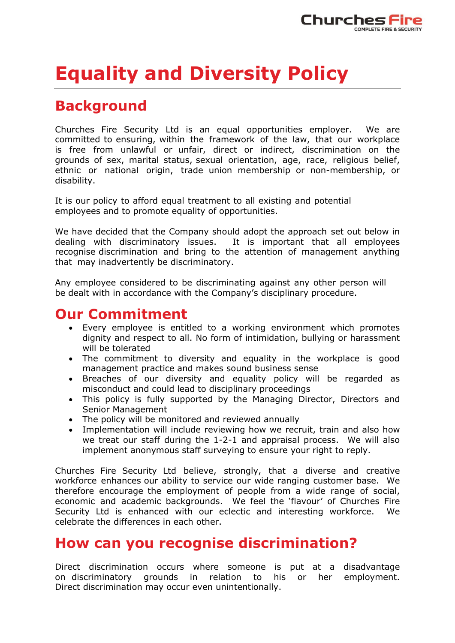

# **Equality and Diversity Policy**

# **Background**

Churches Fire Security Ltd is an equal opportunities employer. We are committed to ensuring, within the framework of the law, that our workplace is free from unlawful or unfair, direct or indirect, discrimination on the grounds of sex, marital status, sexual orientation, age, race, religious belief, ethnic or national origin, trade union membership or non-membership, or disability.

It is our policy to afford equal treatment to all existing and potential employees and to promote equality of opportunities.

We have decided that the Company should adopt the approach set out below in dealing with discriminatory issues. It is important that all employees recognise discrimination and bring to the attention of management anything that may inadvertently be discriminatory.

Any employee considered to be discriminating against any other person will be dealt with in accordance with the Company's disciplinary procedure.

#### **Our Commitment**

- Every employee is entitled to a working environment which promotes dignity and respect to all. No form of intimidation, bullying or harassment will be tolerated
- The commitment to diversity and equality in the workplace is good management practice and makes sound business sense
- Breaches of our diversity and equality policy will be regarded as misconduct and could lead to disciplinary proceedings
- This policy is fully supported by the Managing Director, Directors and Senior Management
- The policy will be monitored and reviewed annually
- Implementation will include reviewing how we recruit, train and also how we treat our staff during the 1-2-1 and appraisal process. We will also implement anonymous staff surveying to ensure your right to reply.

Churches Fire Security Ltd believe, strongly, that a diverse and creative workforce enhances our ability to service our wide ranging customer base. We therefore encourage the employment of people from a wide range of social, economic and academic backgrounds. We feel the 'flavour' of Churches Fire Security Ltd is enhanced with our eclectic and interesting workforce. We celebrate the differences in each other.

### **How can you recognise discrimination?**

Direct discrimination occurs where someone is put at a disadvantage on discriminatory grounds in relation to his or her employment. Direct discrimination may occur even unintentionally.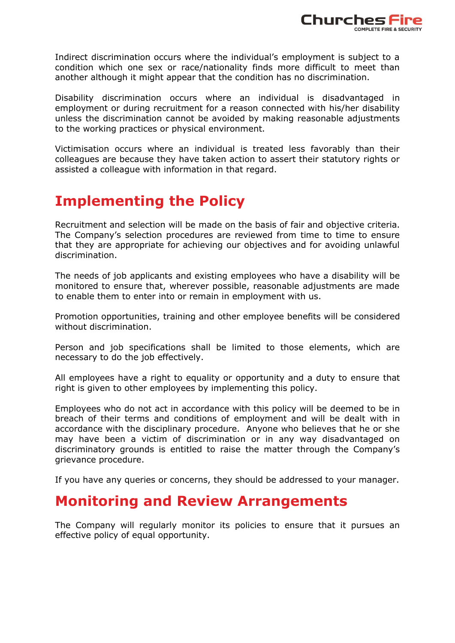

Indirect discrimination occurs where the individual's employment is subject to a condition which one sex or race/nationality finds more difficult to meet than another although it might appear that the condition has no discrimination.

Disability discrimination occurs where an individual is disadvantaged in employment or during recruitment for a reason connected with his/her disability unless the discrimination cannot be avoided by making reasonable adjustments to the working practices or physical environment.

Victimisation occurs where an individual is treated less favorably than their colleagues are because they have taken action to assert their statutory rights or assisted a colleague with information in that regard.

## **Implementing the Policy**

Recruitment and selection will be made on the basis of fair and objective criteria. The Company's selection procedures are reviewed from time to time to ensure that they are appropriate for achieving our objectives and for avoiding unlawful discrimination.

The needs of job applicants and existing employees who have a disability will be monitored to ensure that, wherever possible, reasonable adjustments are made to enable them to enter into or remain in employment with us.

Promotion opportunities, training and other employee benefits will be considered without discrimination.

Person and job specifications shall be limited to those elements, which are necessary to do the job effectively.

All employees have a right to equality or opportunity and a duty to ensure that right is given to other employees by implementing this policy.

Employees who do not act in accordance with this policy will be deemed to be in breach of their terms and conditions of employment and will be dealt with in accordance with the disciplinary procedure. Anyone who believes that he or she may have been a victim of discrimination or in any way disadvantaged on discriminatory grounds is entitled to raise the matter through the Company's grievance procedure.

If you have any queries or concerns, they should be addressed to your manager.

#### **Monitoring and Review Arrangements**

The Company will regularly monitor its policies to ensure that it pursues an effective policy of equal opportunity.